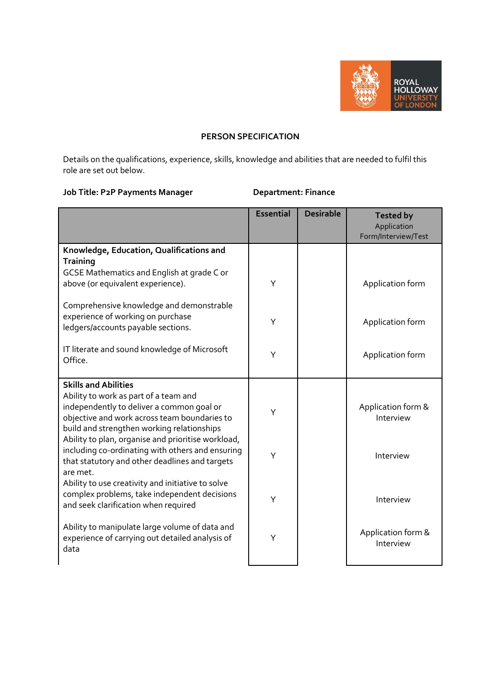

## **PERSON SPECIFICATION**

Details on the qualifications, experience, skills, knowledge and abilities that are needed to fulfil this role are set out below.

## **Job Title: P2P Payments Manager Department: Finance**

|                                                                                                                                                                                  | <b>Essential</b> | <b>Desirable</b> | <b>Tested by</b><br>Application<br>Form/Interview/Test |
|----------------------------------------------------------------------------------------------------------------------------------------------------------------------------------|------------------|------------------|--------------------------------------------------------|
| Knowledge, Education, Qualifications and<br><b>Training</b>                                                                                                                      |                  |                  |                                                        |
| <b>GCSE Mathematics and English at grade C or</b><br>above (or equivalent experience).                                                                                           | Y                |                  | Application form                                       |
| Comprehensive knowledge and demonstrable<br>experience of working on purchase<br>ledgers/accounts payable sections.                                                              | Y                |                  | Application form                                       |
| IT literate and sound knowledge of Microsoft<br>Office.                                                                                                                          | Y                |                  | Application form                                       |
| <b>Skills and Abilities</b>                                                                                                                                                      |                  |                  |                                                        |
| Ability to work as part of a team and<br>independently to deliver a common goal or<br>objective and work across team boundaries to<br>build and strengthen working relationships | Y                |                  | Application form &<br>Interview                        |
| Ability to plan, organise and prioritise workload,<br>including co-ordinating with others and ensuring<br>that statutory and other deadlines and targets<br>are met.             | Y                |                  | Interview                                              |
| Ability to use creativity and initiative to solve<br>complex problems, take independent decisions<br>and seek clarification when required                                        | Y                |                  | Interview                                              |
| Ability to manipulate large volume of data and<br>experience of carrying out detailed analysis of<br>data                                                                        | Y                |                  | Application form &<br>Interview                        |